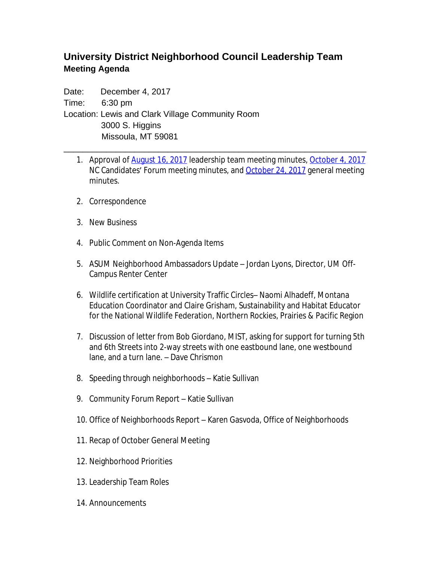## **University District Neighborhood Council Leadership Team Meeting Agenda**

Date: December 4, 2017 Time: 6:30 pm Location: Lewis and Clark Village Community Room 3000 S. Higgins Missoula, MT 59081

1. Approval of [August 16, 2017](http://www.ci.missoula.mt.us/ArchiveCenter/ViewFile/Item/11849) leadership team meeting minutes, [October 4, 2017](http://www.ci.missoula.mt.us/ArchiveCenter/ViewFile/Item/12019) NC Candidates' Forum meeting minutes, and [October 24, 2017](http://www.ci.missoula.mt.us/ArchiveCenter/ViewFile/Item/12132) general meeting minutes.

\_\_\_\_\_\_\_\_\_\_\_\_\_\_\_\_\_\_\_\_\_\_\_\_\_\_\_\_\_\_\_\_\_\_\_\_\_\_\_\_\_\_\_\_\_\_\_\_\_\_\_\_\_\_\_\_\_\_\_\_\_\_\_\_

- 2. Correspondence
- 3. New Business
- 4. Public Comment on Non-Agenda Items
- 5. ASUM Neighborhood Ambassadors Update Jordan Lyons, Director, UM Off-Campus Renter Center
- 6. Wildlife certification at University Traffic Circles– Naomi Alhadeff, Montana Education Coordinator and Claire Grisham, Sustainability and Habitat Educator for the National Wildlife Federation, Northern Rockies, Prairies & Pacific Region
- 7. Discussion of letter from Bob Giordano, MIST, asking for support for turning 5th and 6th Streets into 2-way streets with one eastbound lane, one westbound lane, and a turn lane. – Dave Chrismon
- 8. Speeding through neighborhoods Katie Sullivan
- 9. Community Forum Report Katie Sullivan
- 10. Office of Neighborhoods Report Karen Gasvoda, Office of Neighborhoods
- 11. Recap of October General Meeting
- 12. Neighborhood Priorities
- 13. Leadership Team Roles
- 14. Announcements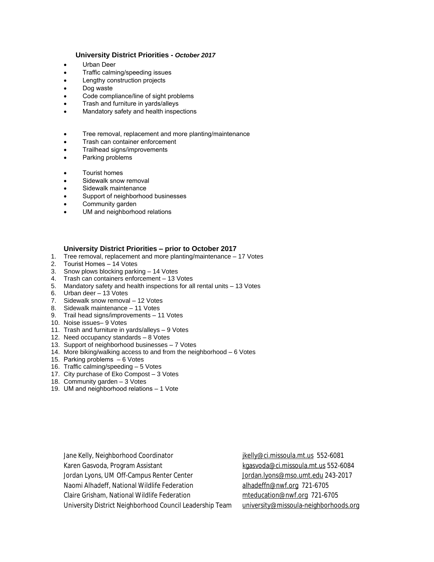## **University District Priorities -** *October 2017*

- Urban Deer
- Traffic calming/speeding issues
- Lengthy construction projects
- Dog waste
- Code compliance/line of sight problems
- Trash and furniture in yards/alleys
- Mandatory safety and health inspections
- **•** Tree removal, replacement and more planting/maintenance
- Trash can container enforcement
- Trailhead signs/improvements
- Parking problems
- Tourist homes
- Sidewalk snow removal
- Sidewalk maintenance
- Support of neighborhood businesses
- Community garden
- UM and neighborhood relations

## **University District Priorities – prior to October 2017**

- 1. Tree removal, replacement and more planting/maintenance 17 Votes
- 2. Tourist Homes 14 Votes
- 3. Snow plows blocking parking 14 Votes
- 4. Trash can containers enforcement 13 Votes
- 5. Mandatory safety and health inspections for all rental units 13 Votes
- 6. Urban deer 13 Votes
- 7. Sidewalk snow removal 12 Votes
- 8. Sidewalk maintenance 11 Votes
- 9. Trail head signs/improvements 11 Votes
- 10. Noise issues– 9 Votes
- 11. Trash and furniture in yards/alleys 9 Votes
- 12. Need occupancy standards 8 Votes
- 13. Support of neighborhood businesses 7 Votes
- 14. More biking/walking access to and from the neighborhood 6 Votes
- 15. Parking problems 6 Votes
- 16. Traffic calming/speeding 5 Votes
- 17. City purchase of Eko Compost 3 Votes
- 18. Community garden 3 Votes
- 19. UM and neighborhood relations 1 Vote

Jane Kelly, Neighborhood Coordinator in the state of the state of the state of the state of the state of the s Karen Gasvoda, Program Assistant [kgasvoda@ci.missoula.mt.us](mailto:kgasvoda@ci.missoula.mt.us) 552-6084 Jordan Lyons, UM Off-Campus Renter Center **[Jordan.lyons@mso.umt.edu](mailto:Jordan.lyons@mso.umt.edu)** 243-2017 Naomi Alhadeff, National Wildlife Federation [alhadeffn@nwf.org](mailto:alhadeffn@nwf.org) 721-6705 Claire Grisham, National Wildlife Federation method muscle meducation@nwf.org 721-6705 University District Neighborhood Council Leadership Team [university@missoula-neighborhoods.org](mailto:university@missoula-neighborhoods.org)